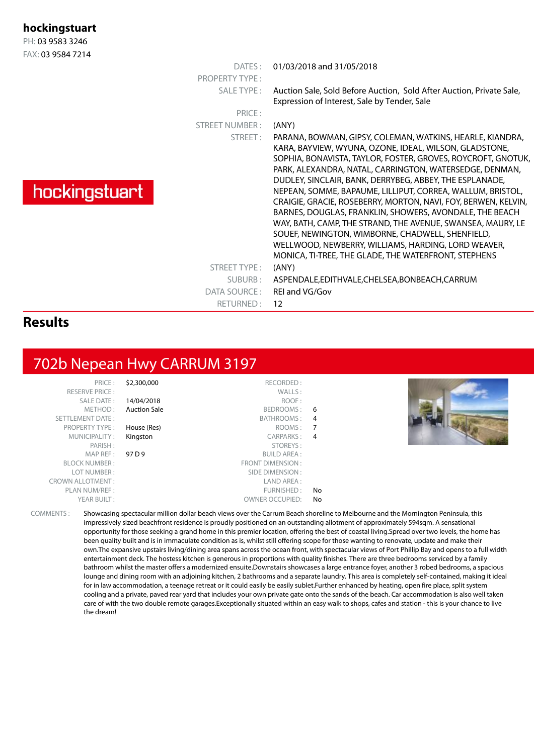PH: 03 9583 3246 FAX: 03 9584 7214

#### **Results**

## 702b Nepean Hwy CARRUM 3197

SALE DATE :<br>METHOD : PROPERTY TYPE : House (Res)

PRICE : \$2,300,000 RECORDED : RESERVE PRICE :  $\blacksquare$ <br>SALE DATE :  $\blacksquare$  14/04/2018  $\blacksquare$  ROOF : Auction Sale **BEDROOMS** : 6 SETTLEMENT DATE : BATHROOMS : 4 MUNICIPALITY: **Kingston CARPARKS: 4**<br>PARISH: **CARPARKS**: 4 STOREYS: MAP REF : 97 D 9 BUILD AREA : BLOCK NUMBER : THE SECOND BLOCK NUMBER : THE SECOND BLOCK NUMBER : THE SECOND BLOCK NUMBER : THE SECOND BLOCK NUMBER : LOT NUMBER : SIDE DIMENSION : CROWN ALLOTMENT : LAND AREA : PLAN NUM/REF :  $\blacksquare$ YEAR BUILT :  $OWNER$  OWNER OCCUPIED: No



COMMENTS : Showcasing spectacular million dollar beach views over the Carrum Beach shoreline to Melbourne and the Mornington Peninsula, this impressively sized beachfront residence is proudly positioned on an outstanding allotment of approximately 594sqm. A sensational opportunity for those seeking a grand home in this premier location, offering the best of coastal living.Spread over two levels, the home has been quality built and is in immaculate condition as is, whilst still offering scope for those wanting to renovate, update and make their own.The expansive upstairs living/dining area spans across the ocean front, with spectacular views of Port Phillip Bay and opens to a full width entertainment deck. The hostess kitchen is generous in proportions with quality finishes. There are three bedrooms serviced by a family bathroom whilst the master offers a modernized ensuite.Downstairs showcases a large entrance foyer, another 3 robed bedrooms, a spacious lounge and dining room with an adjoining kitchen, 2 bathrooms and a separate laundry. This area is completely self-contained, making it ideal for in law accommodation, a teenage retreat or it could easily be easily sublet.Further enhanced by heating, open fire place, split system cooling and a private, paved rear yard that includes your own private gate onto the sands of the beach. Car accommodation is also well taken care of with the two double remote garages.Exceptionally situated within an easy walk to shops, cafes and station - this is your chance to live the dream!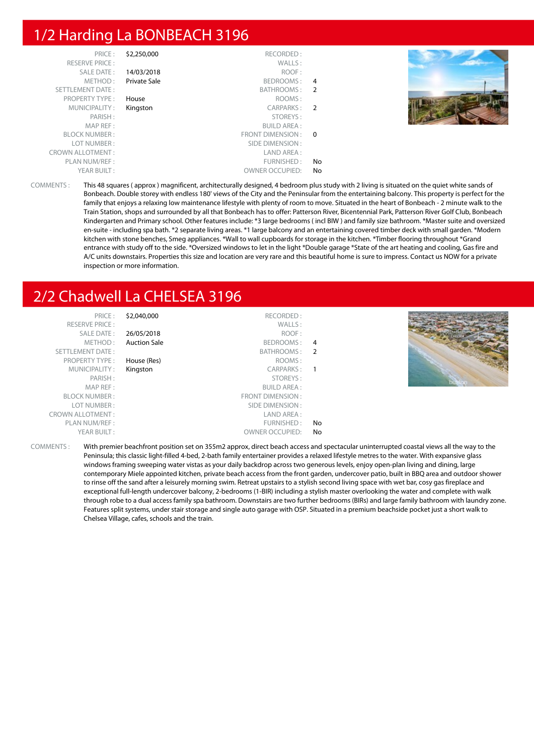#### 1/2 Harding La BONBEACH 3196

| PRICE:                  | \$2,250,000  | RECORDED:              |                |  |
|-------------------------|--------------|------------------------|----------------|--|
| <b>RESERVE PRICE:</b>   |              | WALLS:                 |                |  |
| SALE DATE:              | 14/03/2018   | ROOF:                  |                |  |
| METHOD:                 | Private Sale | BEDROOMS:              | 4              |  |
| <b>SETTLEMENT DATE:</b> |              | BATHROOMS :            | $\overline{2}$ |  |
| <b>PROPERTY TYPE:</b>   | House        | ROOMS:                 |                |  |
| MUNICIPALITY:           | Kingston     | CARPARKS:              | $\overline{2}$ |  |
| PARISH:                 |              | STOREYS:               |                |  |
| MAP REF:                |              | <b>BUILD AREA:</b>     |                |  |
| <b>BLOCK NUMBER:</b>    |              | FRONT DIMENSION :      | $\Omega$       |  |
| LOT NUMBER:             |              | SIDE DIMENSION :       |                |  |
| <b>CROWN ALLOTMENT:</b> |              | LAND AREA:             |                |  |
| PLAN NUM/REF:           |              | FURNISHED:             | No             |  |
| YEAR BUILT:             |              | <b>OWNER OCCUPIED:</b> | No             |  |

COMMENTS : This 48 squares ( approx ) magnificent, architecturally designed, 4 bedroom plus study with 2 living is situated on the quiet white sands of Bonbeach. Double storey with endless 180' views of the City and the Peninsular from the entertaining balcony. This property is perfect for the family that enjoys a relaxing low maintenance lifestyle with plenty of room to move. Situated in the heart of Bonbeach - 2 minute walk to the Train Station, shops and surrounded by all that Bonbeach has to offer: Patterson River, Bicentennial Park, Patterson River Golf Club, Bonbeach Kindergarten and Primary school. Other features include: \*3 large bedrooms ( incl BIW ) and family size bathroom. \*Master suite and oversized en-suite - including spa bath. \*2 separate living areas. \*1 large balcony and an entertaining covered timber deck with small garden. \*Modern kitchen with stone benches, Smeg appliances. \*Wall to wall cupboards for storage in the kitchen. \*Timber flooring throughout \*Grand entrance with study off to the side. \*Oversized windows to let in the light \*Double garage \*State of the art heating and cooling, Gas fire and A/C units downstairs. Properties this size and location are very rare and this beautiful home is sure to impress. Contact us NOW for a private inspection or more information.

## 2/2 Chadwell La CHELSEA 3196

| PRICE:<br><b>RESERVE PRICE:</b> | \$2,040,000         | RECORDED:<br>WALLS:    |     |  |
|---------------------------------|---------------------|------------------------|-----|--|
| SALE DATE:                      | 26/05/2018          | ROOF:                  |     |  |
| METHOD:                         | <b>Auction Sale</b> | BEDROOMS:              | 4   |  |
| SETTLEMENT DATE:                |                     | BATHROOMS:             | - 2 |  |
| <b>PROPERTY TYPE:</b>           | House (Res)         | ROOMS:                 |     |  |
| MUNICIPALITY:                   | Kingston            | <b>CARPARKS:</b>       | - 1 |  |
| PARISH:                         |                     | STOREYS:               |     |  |
| MAP REF:                        |                     | BUILD AREA :           |     |  |
| <b>BLOCK NUMBER:</b>            |                     | FRONT DIMENSION:       |     |  |
| LOT NUMBER:                     |                     | SIDE DIMENSION :       |     |  |
| <b>CROWN ALLOTMENT:</b>         |                     | LAND AREA:             |     |  |
| PLAN NUM/REF :                  |                     | FURNISHED:             | No  |  |
| YEAR BUILT:                     |                     | <b>OWNER OCCUPIED:</b> | No  |  |

COMMENTS : With premier beachfront position set on 355m2 approx, direct beach access and spectacular uninterrupted coastal views all the way to the Peninsula; this classic light-filled 4-bed, 2-bath family entertainer provides a relaxed lifestyle metres to the water. With expansive glass windows framing sweeping water vistas as your daily backdrop across two generous levels, enjoy open-plan living and dining, large contemporary Miele appointed kitchen, private beach access from the front garden, undercover patio, built in BBQ area and outdoor shower to rinse off the sand after a leisurely morning swim. Retreat upstairs to a stylish second living space with wet bar, cosy gas fireplace and exceptional full-length undercover balcony, 2-bedrooms (1-BIR) including a stylish master overlooking the water and complete with walk through robe to a dual access family spa bathroom. Downstairs are two further bedrooms (BIRs) and large family bathroom with laundry zone. Features split systems, under stair storage and single auto garage with OSP. Situated in a premium beachside pocket just a short walk to Chelsea Village, cafes, schools and the train.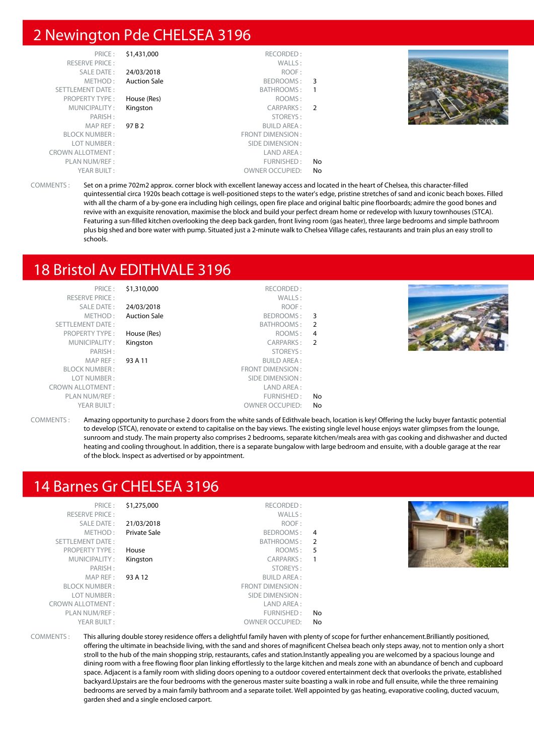#### 2 Newington Pde CHELSEA 3196

| PRICE:                  | \$1,431,000         | RECORDED:              |     |  |
|-------------------------|---------------------|------------------------|-----|--|
| <b>RESERVE PRICE:</b>   |                     | WALLS:                 |     |  |
| SALE DATE:              | 24/03/2018          | ROOF:                  |     |  |
| METHOD:                 | <b>Auction Sale</b> | BEDROOMS: 3            |     |  |
| SETTLEMENT DATE:        |                     | BATHROOMS:             |     |  |
| <b>PROPERTY TYPE:</b>   | House (Res)         | ROOMS:                 |     |  |
| MUNICIPALITY:           | Kingston            | CARPARKS: 2            |     |  |
| PARISH:                 |                     | STOREYS:               |     |  |
| MAPREF:                 | 97 B 2              | <b>BUILD AREA:</b>     |     |  |
| <b>BLOCK NUMBER:</b>    |                     | FRONT DIMENSION:       |     |  |
| LOT NUMBER:             |                     | SIDE DIMENSION :       |     |  |
| <b>CROWN ALLOTMENT:</b> |                     | LAND AREA :            |     |  |
| PLAN NUM/REF:           |                     | FURNISHED:             | No. |  |
| YEAR BUILT:             |                     | <b>OWNER OCCUPIED:</b> | No  |  |

COMMENTS : Set on a prime 702m2 approx. corner block with excellent laneway access and located in the heart of Chelsea, this character-filled quintessential circa 1920s beach cottage is well-positioned steps to the water's edge, pristine stretches of sand and iconic beach boxes. Filled with all the charm of a by-gone era including high ceilings, open fire place and original baltic pine floorboards; admire the good bones and revive with an exquisite renovation, maximise the block and build your perfect dream home or redevelop with luxury townhouses (STCA). Featuring a sun-filled kitchen overlooking the deep back garden, front living room (gas heater), three large bedrooms and simple bathroom plus big shed and bore water with pump. Situated just a 2-minute walk to Chelsea Village cafes, restaurants and train plus an easy stroll to schools.

## 18 Bristol Av EDITHVALE 3196

|    | RECORDED:              | \$1,310,000         | PRICE:                  |
|----|------------------------|---------------------|-------------------------|
|    | WALLS:                 |                     | <b>RESERVE PRICE:</b>   |
|    | ROOF:                  | 24/03/2018          | SALE DATE:              |
|    | BEDROOMS: 3            | <b>Auction Sale</b> | METHOD:                 |
|    | BATHROOMS: 2           |                     | SETTLEMENT DATE:        |
| 4  | ROOMS:                 | House (Res)         | <b>PROPERTY TYPE:</b>   |
| -2 | CARPARKS:              | Kingston            | MUNICIPALITY:           |
|    | STOREYS:               |                     | PARISH:                 |
|    | <b>BUILD AREA:</b>     | 93 A 11             | MAP REF:                |
|    | FRONT DIMENSION :      |                     | <b>BLOCK NUMBER:</b>    |
|    | SIDE DIMENSION :       |                     | LOT NUMBER:             |
|    | LAND AREA :            |                     | <b>CROWN ALLOTMENT:</b> |
| No | FURNISHED:             |                     | PLAN NUM/REF:           |
| No | <b>OWNER OCCUPIED:</b> |                     | YEAR BUILT:             |

COMMENTS : Amazing opportunity to purchase 2 doors from the white sands of Edithvale beach, location is key! Offering the lucky buyer fantastic potential to develop (STCA), renovate or extend to capitalise on the bay views. The existing single level house enjoys water glimpses from the lounge, sunroom and study. The main property also comprises 2 bedrooms, separate kitchen/meals area with gas cooking and dishwasher and ducted heating and cooling throughout. In addition, there is a separate bungalow with large bedroom and ensuite, with a double garage at the rear of the block. Inspect as advertised or by appointment.

#### 14 Barnes Gr CHELSEA 3196

| PRICE:                  | \$1,275,000  | RECORDED:               |                |
|-------------------------|--------------|-------------------------|----------------|
| <b>RESERVE PRICE:</b>   |              | WALLS:                  |                |
| <b>SALE DATE:</b>       | 21/03/2018   | ROOF:                   |                |
| METHOD:                 | Private Sale | BEDROOMS:               | 4              |
| <b>SETTLEMENT DATE:</b> |              | BATHROOMS:              | $\overline{2}$ |
|                         |              |                         |                |
| <b>PROPERTY TYPE:</b>   | House        | ROOMS:                  | 5              |
| MUNICIPALITY:           | Kingston     | <b>CARPARKS:</b>        | 1              |
| PARISH:                 |              | STOREYS:                |                |
| MAP REF:                | 93 A 12      | <b>BUILD AREA:</b>      |                |
| <b>BLOCK NUMBER:</b>    |              | <b>FRONT DIMENSION:</b> |                |
| LOT NUMBER:             |              | SIDE DIMENSION:         |                |
| <b>CROWN ALLOTMENT:</b> |              | LAND AREA:              |                |
| PLAN NUM/REF:           |              | FURNISHED:              | No             |
| YEAR BUILT:             |              | <b>OWNER OCCUPIED:</b>  | No             |
|                         |              |                         |                |



COMMENTS : This alluring double storey residence offers a delightful family haven with plenty of scope for further enhancement.Brilliantly positioned,

offering the ultimate in beachside living, with the sand and shores of magnificent Chelsea beach only steps away, not to mention only a short stroll to the hub of the main shopping strip, restaurants, cafes and station.Instantly appealing you are welcomed by a spacious lounge and dining room with a free flowing floor plan linking effortlessly to the large kitchen and meals zone with an abundance of bench and cupboard space. Adjacent is a family room with sliding doors opening to a outdoor covered entertainment deck that overlooks the private, established backyard.Upstairs are the four bedrooms with the generous master suite boasting a walk in robe and full ensuite, while the three remaining bedrooms are served by a main family bathroom and a separate toilet. Well appointed by gas heating, evaporative cooling, ducted vacuum, garden shed and a single enclosed carport.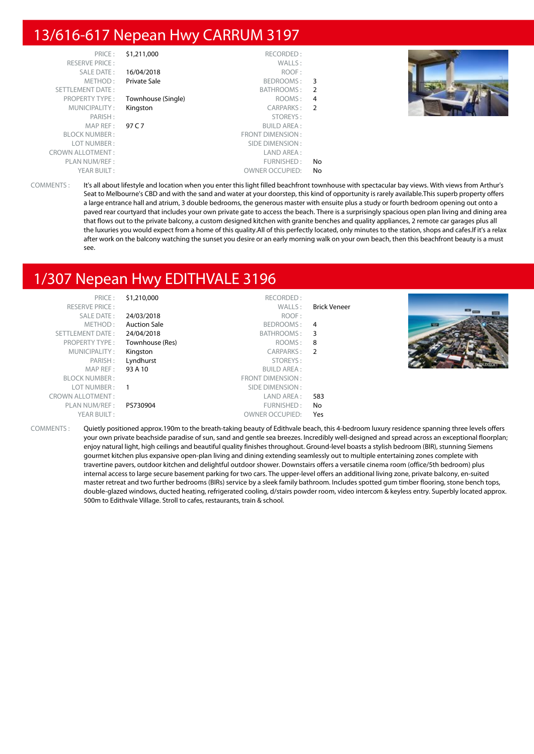#### 13/616-617 Nepean Hwy CARRUM 3197

| PRICE:                  | \$1,211,000        | RECORDED:              |    |  |
|-------------------------|--------------------|------------------------|----|--|
| <b>RESERVE PRICE:</b>   |                    | WALLS:                 |    |  |
| SALE DATE:              | 16/04/2018         | ROOF:                  |    |  |
| METHOD:                 | Private Sale       | BEDROOMS:              | 3  |  |
| SETTLEMENT DATE:        |                    | BATHROOMS: 2           |    |  |
| <b>PROPERTY TYPE:</b>   | Townhouse (Single) | ROOMS:                 | 4  |  |
| MUNICIPALITY:           | Kingston           | CARPARKS: 2            |    |  |
| PARISH:                 |                    | STOREYS:               |    |  |
| MAP REF:                | 97 C 7             | <b>BUILD AREA:</b>     |    |  |
| <b>BLOCK NUMBER:</b>    |                    | FRONT DIMENSION:       |    |  |
| LOT NUMBER:             |                    | SIDE DIMENSION :       |    |  |
| <b>CROWN ALLOTMENT:</b> |                    | LAND AREA :            |    |  |
| PLAN NUM/REF:           |                    | FURNISHED:             | No |  |
| YEAR BUILT:             |                    | <b>OWNER OCCUPIED:</b> | No |  |

COMMENTS : It's all about lifestyle and location when you enter this light filled beachfront townhouse with spectacular bay views. With views from Arthur's Seat to Melbourne's CBD and with the sand and water at your doorstep, this kind of opportunity is rarely available.This superb property offers a large entrance hall and atrium, 3 double bedrooms, the generous master with ensuite plus a study or fourth bedroom opening out onto a paved rear courtyard that includes your own private gate to access the beach. There is a surprisingly spacious open plan living and dining area that flows out to the private balcony, a custom designed kitchen with granite benches and quality appliances, 2 remote car garages plus all the luxuries you would expect from a home of this quality.All of this perfectly located, only minutes to the station, shops and cafes.If it's a relax after work on the balcony watching the sunset you desire or an early morning walk on your own beach, then this beachfront beauty is a must see.

#### 1/307 Nepean Hwy EDITHVALE 3196

| PRICE:                  | \$1,210,000         | RECORDED:              |                     |  |
|-------------------------|---------------------|------------------------|---------------------|--|
| <b>RESERVE PRICE:</b>   |                     | WALLS:                 | <b>Brick Veneer</b> |  |
| SALE DATE:              | 24/03/2018          | ROOF:                  |                     |  |
| METHOD:                 | <b>Auction Sale</b> | BEDROOMS: 4            |                     |  |
| SETTLEMENT DATE:        | 24/04/2018          | BATHROOMS: 3           |                     |  |
| PROPERTY TYPE:          | Townhouse (Res)     | ROOMS: 8               |                     |  |
| MUNICIPALITY:           | Kingston            | CARPARKS: 2            |                     |  |
| PARISH:                 | Lyndhurst           | STOREYS:               |                     |  |
| MAP REF :               | 93 A 10             | <b>BUILD AREA:</b>     |                     |  |
| <b>BLOCK NUMBER:</b>    |                     | FRONT DIMENSION:       |                     |  |
| LOT NUMBER :            | - 1                 | SIDE DIMENSION :       |                     |  |
| <b>CROWN ALLOTMENT:</b> |                     | LAND AREA :            | 583                 |  |
| PLAN NUM/REF:           | PS730904            | FURNISHED:             | No                  |  |
| YEAR BUILT:             |                     | <b>OWNER OCCUPIED:</b> | Yes                 |  |

COMMENTS : Quietly positioned approx.190m to the breath-taking beauty of Edithvale beach, this 4-bedroom luxury residence spanning three levels offers your own private beachside paradise of sun, sand and gentle sea breezes. Incredibly well-designed and spread across an exceptional floorplan; enjoy natural light, high ceilings and beautiful quality finishes throughout. Ground-level boasts a stylish bedroom (BIR), stunning Siemens gourmet kitchen plus expansive open-plan living and dining extending seamlessly out to multiple entertaining zones complete with travertine pavers, outdoor kitchen and delightful outdoor shower. Downstairs offers a versatile cinema room (office/5th bedroom) plus internal access to large secure basement parking for two cars. The upper-level offers an additional living zone, private balcony, en-suited master retreat and two further bedrooms (BIRs) service by a sleek family bathroom. Includes spotted gum timber flooring, stone bench tops, double-glazed windows, ducted heating, refrigerated cooling, d/stairs powder room, video intercom & keyless entry. Superbly located approx. 500m to Edithvale Village. Stroll to cafes, restaurants, train & school.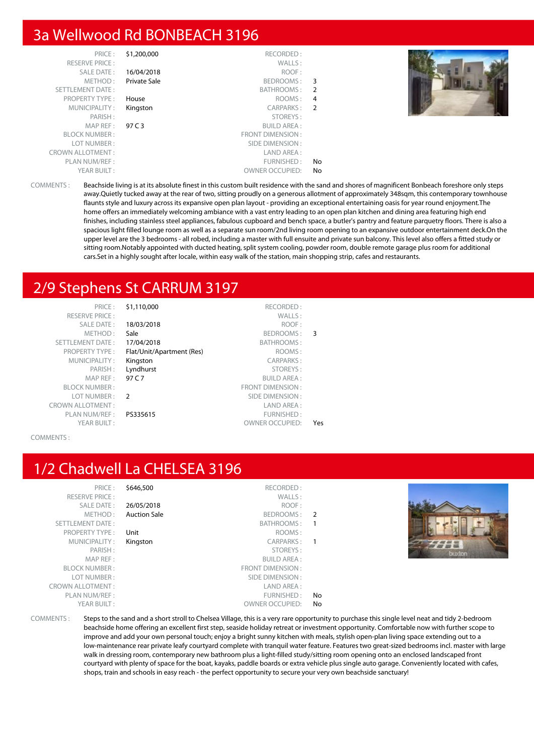#### 3a Wellwood Rd BONBEACH 3196

| PRICE:                  | \$1,200,000  | RECORDED:              |                |  |
|-------------------------|--------------|------------------------|----------------|--|
| <b>RESERVE PRICE:</b>   |              | WALLS:                 |                |  |
| SALE DATE:              | 16/04/2018   | ROOF:                  |                |  |
| METHOD:                 | Private Sale | BEDROOMS:              | -3             |  |
| SETTLEMENT DATE:        |              | BATHROOMS:             | -2             |  |
| <b>PROPERTY TYPE:</b>   | House        | ROOMS:                 | 4              |  |
| MUNICIPALITY:           | Kingston     | CARPARKS:              | $\overline{2}$ |  |
| PARISH:                 |              | STOREYS:               |                |  |
| MAP REF :               | 97 C 3       | <b>BUILD AREA:</b>     |                |  |
| <b>BLOCK NUMBER:</b>    |              | FRONT DIMENSION:       |                |  |
| LOT NUMBER:             |              | SIDE DIMENSION:        |                |  |
| <b>CROWN ALLOTMENT:</b> |              | LAND AREA:             |                |  |
| PLAN NUM/REF:           |              | FURNISHED:             | No             |  |
| YEAR BUILT:             |              | <b>OWNER OCCUPIED:</b> | No             |  |
|                         |              |                        |                |  |



COMMENTS : Beachside living is at its absolute finest in this custom built residence with the sand and shores of magnificent Bonbeach foreshore only steps away.Quietly tucked away at the rear of two, sitting proudly on a generous allotment of approximately 348sqm, this contemporary townhouse flaunts style and luxury across its expansive open plan layout - providing an exceptional entertaining oasis for year round enjoyment.The home offers an immediately welcoming ambiance with a vast entry leading to an open plan kitchen and dining area featuring high end finishes, including stainless steel appliances, fabulous cupboard and bench space, a butler's pantry and feature parquetry floors. There is also a spacious light filled lounge room as well as a separate sun room/2nd living room opening to an expansive outdoor entertainment deck.On the upper level are the 3 bedrooms - all robed, including a master with full ensuite and private sun balcony. This level also offers a fitted study or sitting room.Notably appointed with ducted heating, split system cooling, powder room, double remote garage plus room for additional cars.Set in a highly sought after locale, within easy walk of the station, main shopping strip, cafes and restaurants.

## 2/9 Stephens St CARRUM 3197

| PRICE:                  | \$1,110,000               | RECORDED:               |     |
|-------------------------|---------------------------|-------------------------|-----|
| <b>RESERVE PRICE:</b>   |                           | WALLS:                  |     |
| <b>SALE DATE:</b>       | 18/03/2018                | ROOF:                   |     |
| METHOD:                 | Sale                      | BEDROOMS:               | 3   |
| <b>SETTLEMENT DATE:</b> | 17/04/2018                | BATHROOMS:              |     |
| <b>PROPERTY TYPE:</b>   | Flat/Unit/Apartment (Res) | ROOMS:                  |     |
| MUNICIPALITY:           | Kingston                  | <b>CARPARKS:</b>        |     |
| PARISH:                 | Lyndhurst                 | STOREYS:                |     |
| MAP REF:                | 97 C.7                    | <b>BUILD AREA:</b>      |     |
| <b>BLOCK NUMBER:</b>    |                           | <b>FRONT DIMENSION:</b> |     |
| LOT NUMBER:             | $\mathcal{P}$             | SIDE DIMENSION:         |     |
| <b>CROWN ALLOTMENT:</b> |                           | LAND AREA:              |     |
| PLAN NUM/REF:           | PS335615                  | <b>FURNISHED:</b>       |     |
| YEAR BUILT:             |                           | <b>OWNER OCCUPIED:</b>  | Yes |

#### COMMENTS :

#### 1/2 Chadwell La CHELSEA 3196

COMMENTS : Steps to the sand and a short stroll to Chelsea Village, this is a very rare opportunity to purchase this single level neat and tidy 2-bedroom beachside home offering an excellent first step, seaside holiday retreat or investment opportunity. Comfortable now with further scope to improve and add your own personal touch; enjoy a bright sunny kitchen with meals, stylish open-plan living space extending out to a low-maintenance rear private leafy courtyard complete with tranquil water feature. Features two great-sized bedrooms incl. master with large walk in dressing room, contemporary new bathroom plus a light-filled study/sitting room opening onto an enclosed landscaped front courtyard with plenty of space for the boat, kayaks, paddle boards or extra vehicle plus single auto garage. Conveniently located with cafes, shops, train and schools in easy reach - the perfect opportunity to secure your very own beachside sanctuary!